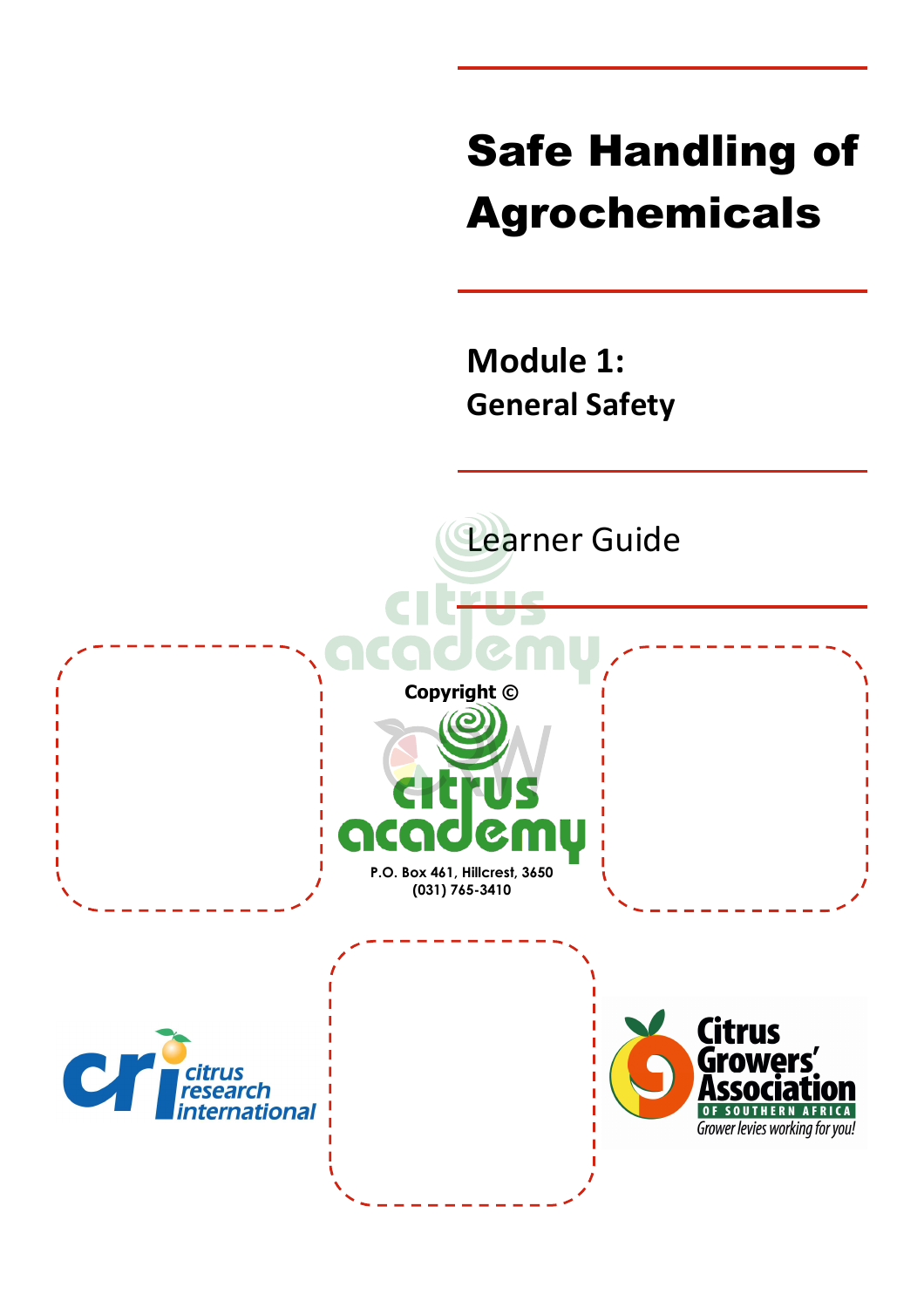# Safe Handling of Agrochemicals

**Module 1: General Safety**

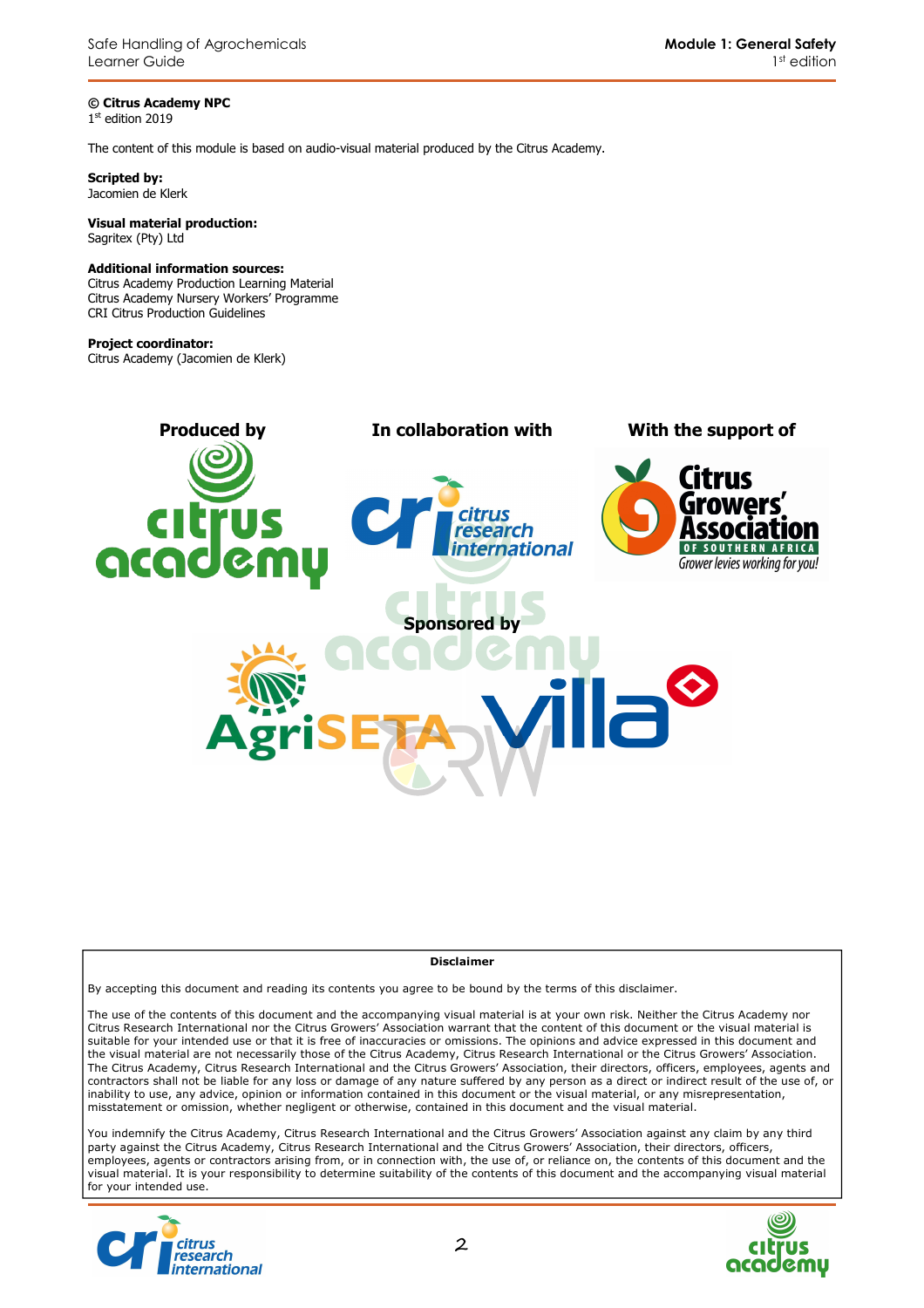**© Citrus Academy NPC**  1 st edition 2019

The content of this module is based on audio-visual material produced by the Citrus Academy.

**Scripted by:**  Jacomien de Klerk

#### **Visual material production:**  Sagritex (Pty) Ltd

#### **Additional information sources:**

Citrus Academy Production Learning Material Citrus Academy Nursery Workers' Programme CRI Citrus Production Guidelines

#### **Project coordinator:**

Citrus Academy (Jacomien de Klerk)



#### **Disclaimer**

By accepting this document and reading its contents you agree to be bound by the terms of this disclaimer.

The use of the contents of this document and the accompanying visual material is at your own risk. Neither the Citrus Academy nor Citrus Research International nor the Citrus Growers' Association warrant that the content of this document or the visual material is suitable for your intended use or that it is free of inaccuracies or omissions. The opinions and advice expressed in this document and the visual material are not necessarily those of the Citrus Academy, Citrus Research International or the Citrus Growers' Association. The Citrus Academy, Citrus Research International and the Citrus Growers' Association, their directors, officers, employees, agents and contractors shall not be liable for any loss or damage of any nature suffered by any person as a direct or indirect result of the use of, or inability to use, any advice, opinion or information contained in this document or the visual material, or any misrepresentation, misstatement or omission, whether negligent or otherwise, contained in this document and the visual material.

You indemnify the Citrus Academy, Citrus Research International and the Citrus Growers' Association against any claim by any third party against the Citrus Academy, Citrus Research International and the Citrus Growers' Association, their directors, officers, employees, agents or contractors arising from, or in connection with, the use of, or reliance on, the contents of this document and the visual material. It is your responsibility to determine suitability of the contents of this document and the accompanying visual material for your intended use.



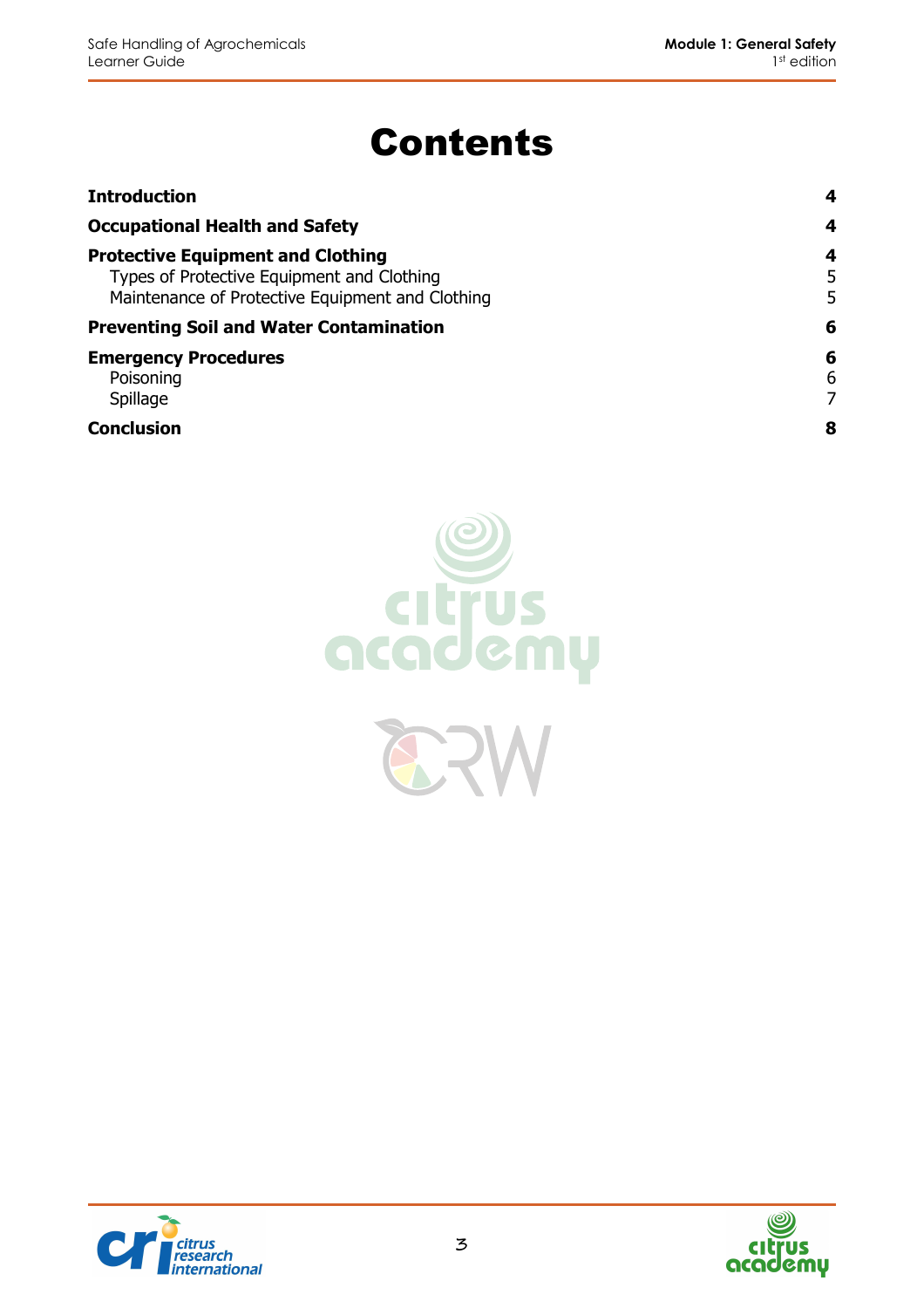# Contents

| <b>Introduction</b>                                                                                                                        | 4           |
|--------------------------------------------------------------------------------------------------------------------------------------------|-------------|
| <b>Occupational Health and Safety</b>                                                                                                      | 4           |
| <b>Protective Equipment and Clothing</b><br>Types of Protective Equipment and Clothing<br>Maintenance of Protective Equipment and Clothing | 4<br>5<br>5 |
| <b>Preventing Soil and Water Contamination</b>                                                                                             | 6           |
| <b>Emergency Procedures</b><br>Poisoning<br>Spillage                                                                                       | 6<br>6<br>7 |
| <b>Conclusion</b>                                                                                                                          | 8           |





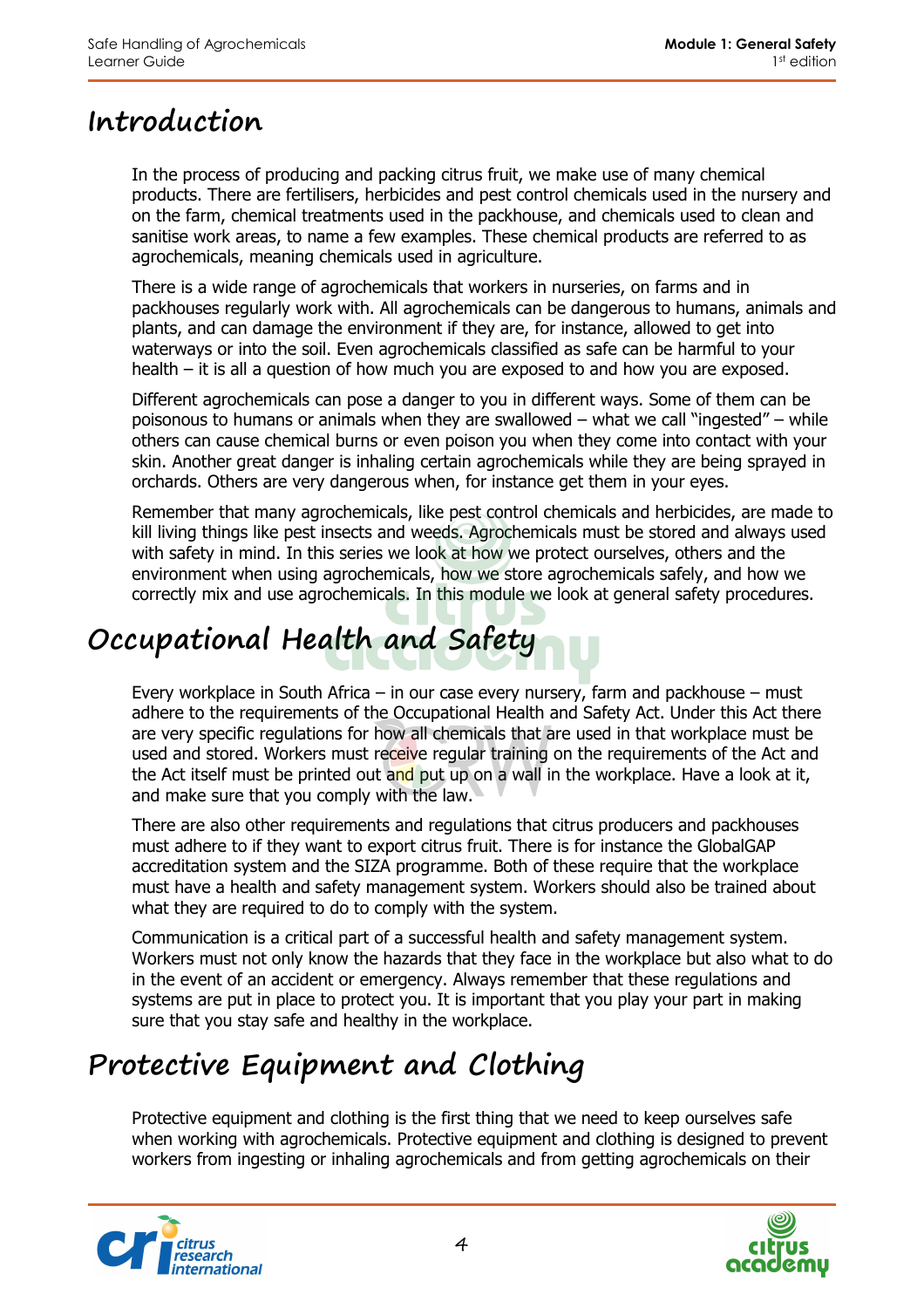# **Introduction**

In the process of producing and packing citrus fruit, we make use of many chemical products. There are fertilisers, herbicides and pest control chemicals used in the nursery and on the farm, chemical treatments used in the packhouse, and chemicals used to clean and sanitise work areas, to name a few examples. These chemical products are referred to as agrochemicals, meaning chemicals used in agriculture.

There is a wide range of agrochemicals that workers in nurseries, on farms and in packhouses regularly work with. All agrochemicals can be dangerous to humans, animals and plants, and can damage the environment if they are, for instance, allowed to get into waterways or into the soil. Even agrochemicals classified as safe can be harmful to your health – it is all a question of how much you are exposed to and how you are exposed.

Different agrochemicals can pose a danger to you in different ways. Some of them can be poisonous to humans or animals when they are swallowed – what we call "ingested" – while others can cause chemical burns or even poison you when they come into contact with your skin. Another great danger is inhaling certain agrochemicals while they are being sprayed in orchards. Others are very dangerous when, for instance get them in your eyes.

Remember that many agrochemicals, like pest control chemicals and herbicides, are made to kill living things like pest insects and weeds. Agrochemicals must be stored and always used with safety in mind. In this series we look at how we protect ourselves, others and the environment when using agrochemicals, how we store agrochemicals safely, and how we correctly mix and use agrochemicals. In this module we look at general safety procedures.

# **Occupational Health and Safety**

Every workplace in South Africa – in our case every nursery, farm and packhouse – must adhere to the requirements of the Occupational Health and Safety Act. Under this Act there are very specific regulations for how all chemicals that are used in that workplace must be used and stored. Workers must receive regular training on the requirements of the Act and the Act itself must be printed out and put up on a wall in the workplace. Have a look at it, and make sure that you comply with the law.

There are also other requirements and regulations that citrus producers and packhouses must adhere to if they want to export citrus fruit. There is for instance the GlobalGAP accreditation system and the SIZA programme. Both of these require that the workplace must have a health and safety management system. Workers should also be trained about what they are required to do to comply with the system.

Communication is a critical part of a successful health and safety management system. Workers must not only know the hazards that they face in the workplace but also what to do in the event of an accident or emergency. Always remember that these regulations and systems are put in place to protect you. It is important that you play your part in making sure that you stay safe and healthy in the workplace.

# **Protective Equipment and Clothing**

Protective equipment and clothing is the first thing that we need to keep ourselves safe when working with agrochemicals. Protective equipment and clothing is designed to prevent workers from ingesting or inhaling agrochemicals and from getting agrochemicals on their



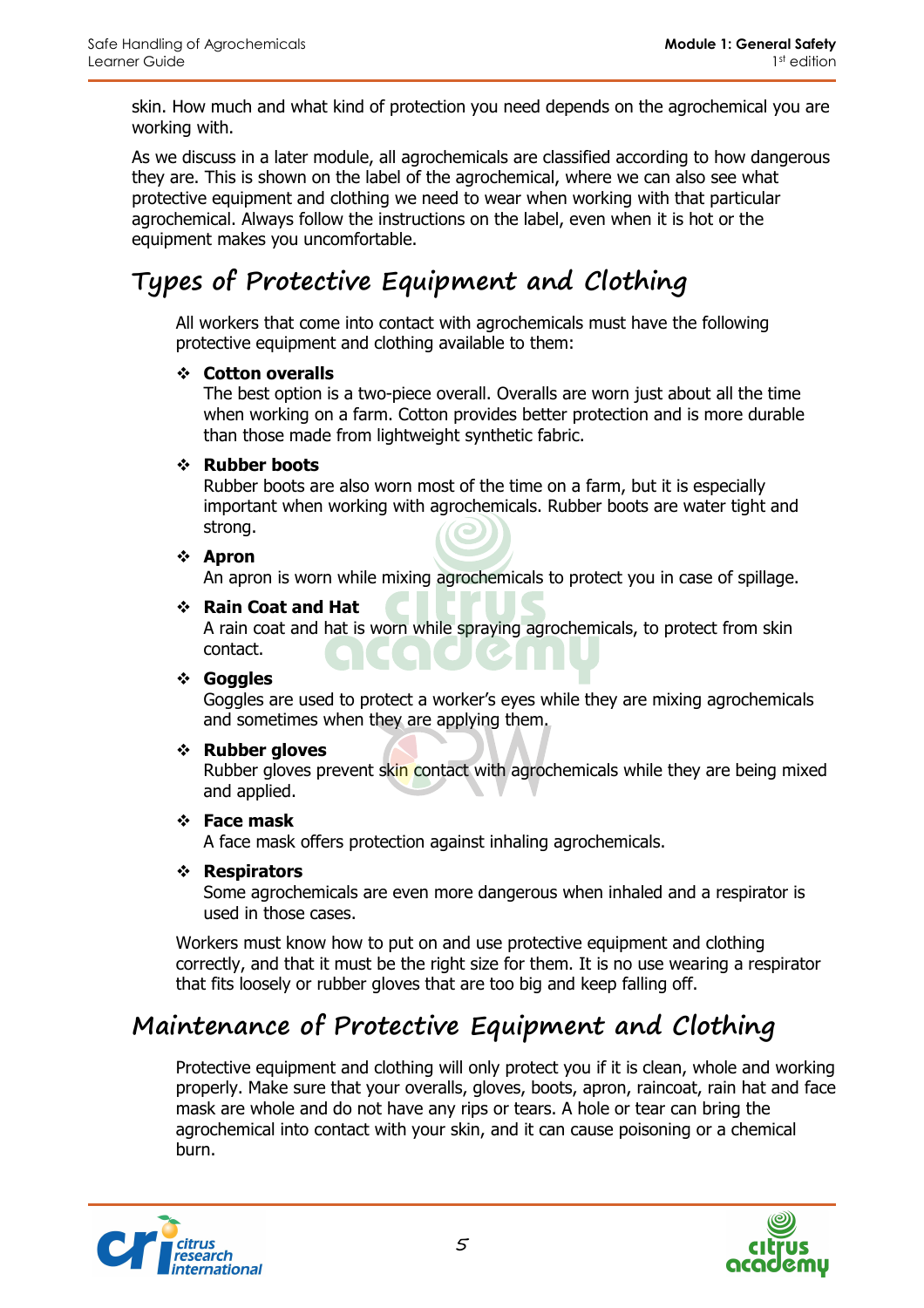skin. How much and what kind of protection you need depends on the agrochemical you are working with.

As we discuss in a later module, all agrochemicals are classified according to how dangerous they are. This is shown on the label of the agrochemical, where we can also see what protective equipment and clothing we need to wear when working with that particular agrochemical. Always follow the instructions on the label, even when it is hot or the equipment makes you uncomfortable.

# **Types of Protective Equipment and Clothing**

All workers that come into contact with agrochemicals must have the following protective equipment and clothing available to them:

#### **Cotton overalls**

The best option is a two-piece overall. Overalls are worn just about all the time when working on a farm. Cotton provides better protection and is more durable than those made from lightweight synthetic fabric.

#### **Rubber boots**

Rubber boots are also worn most of the time on a farm, but it is especially important when working with agrochemicals. Rubber boots are water tight and strong.

#### **Apron**

An apron is worn while mixing agrochemicals to protect you in case of spillage.

#### **Rain Coat and Hat**

A rain coat and hat is worn while spraying agrochemicals, to protect from skin contact.

#### **Goggles**

Goggles are used to protect a worker's eyes while they are mixing agrochemicals and sometimes when they are applying them.

#### **Rubber gloves**

Rubber gloves prevent skin contact with agrochemicals while they are being mixed and applied.

#### **Face mask**

A face mask offers protection against inhaling agrochemicals.

#### **Respirators**

Some agrochemicals are even more dangerous when inhaled and a respirator is used in those cases.

Workers must know how to put on and use protective equipment and clothing correctly, and that it must be the right size for them. It is no use wearing a respirator that fits loosely or rubber gloves that are too big and keep falling off.

### **Maintenance of Protective Equipment and Clothing**

Protective equipment and clothing will only protect you if it is clean, whole and working properly. Make sure that your overalls, gloves, boots, apron, raincoat, rain hat and face mask are whole and do not have any rips or tears. A hole or tear can bring the agrochemical into contact with your skin, and it can cause poisoning or a chemical burn.



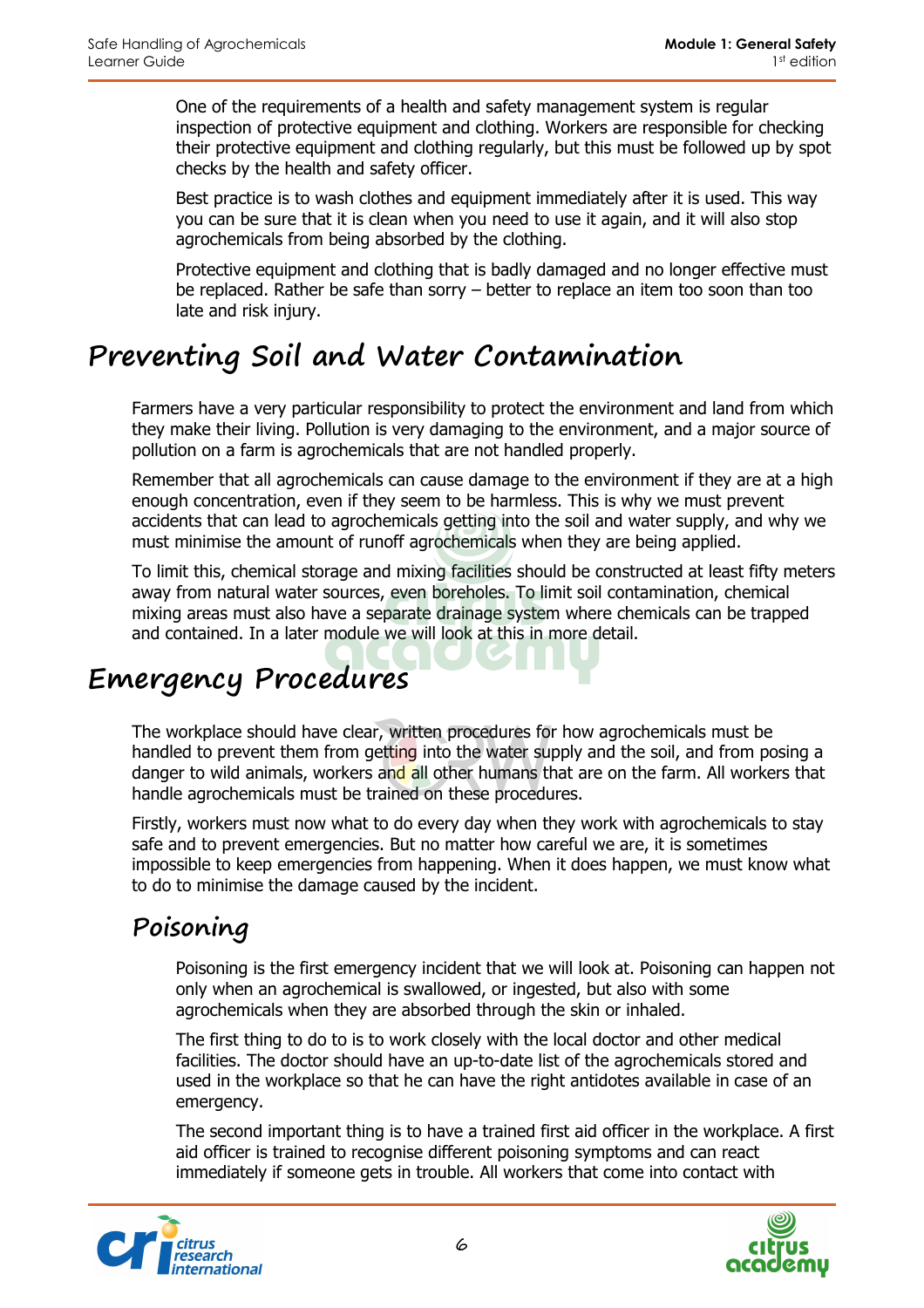One of the requirements of a health and safety management system is regular inspection of protective equipment and clothing. Workers are responsible for checking their protective equipment and clothing regularly, but this must be followed up by spot checks by the health and safety officer.

Best practice is to wash clothes and equipment immediately after it is used. This way you can be sure that it is clean when you need to use it again, and it will also stop agrochemicals from being absorbed by the clothing.

Protective equipment and clothing that is badly damaged and no longer effective must be replaced. Rather be safe than sorry – better to replace an item too soon than too late and risk injury.

# **Preventing Soil and Water Contamination**

Farmers have a very particular responsibility to protect the environment and land from which they make their living. Pollution is very damaging to the environment, and a major source of pollution on a farm is agrochemicals that are not handled properly.

Remember that all agrochemicals can cause damage to the environment if they are at a high enough concentration, even if they seem to be harmless. This is why we must prevent accidents that can lead to agrochemicals getting into the soil and water supply, and why we must minimise the amount of runoff agrochemicals when they are being applied.

To limit this, chemical storage and mixing facilities should be constructed at least fifty meters away from natural water sources, even boreholes. To limit soil contamination, chemical mixing areas must also have a separate drainage system where chemicals can be trapped and contained. In a later module we will look at this in more detail.

# **Emergency Procedures**

The workplace should have clear, written procedures for how agrochemicals must be handled to prevent them from getting into the water supply and the soil, and from posing a danger to wild animals, workers and all other humans that are on the farm. All workers that handle agrochemicals must be trained on these procedures.

Firstly, workers must now what to do every day when they work with agrochemicals to stay safe and to prevent emergencies. But no matter how careful we are, it is sometimes impossible to keep emergencies from happening. When it does happen, we must know what to do to minimise the damage caused by the incident.

# **Poisoning**

Poisoning is the first emergency incident that we will look at. Poisoning can happen not only when an agrochemical is swallowed, or ingested, but also with some agrochemicals when they are absorbed through the skin or inhaled.

The first thing to do to is to work closely with the local doctor and other medical facilities. The doctor should have an up-to-date list of the agrochemicals stored and used in the workplace so that he can have the right antidotes available in case of an emergency.

The second important thing is to have a trained first aid officer in the workplace. A first aid officer is trained to recognise different poisoning symptoms and can react immediately if someone gets in trouble. All workers that come into contact with



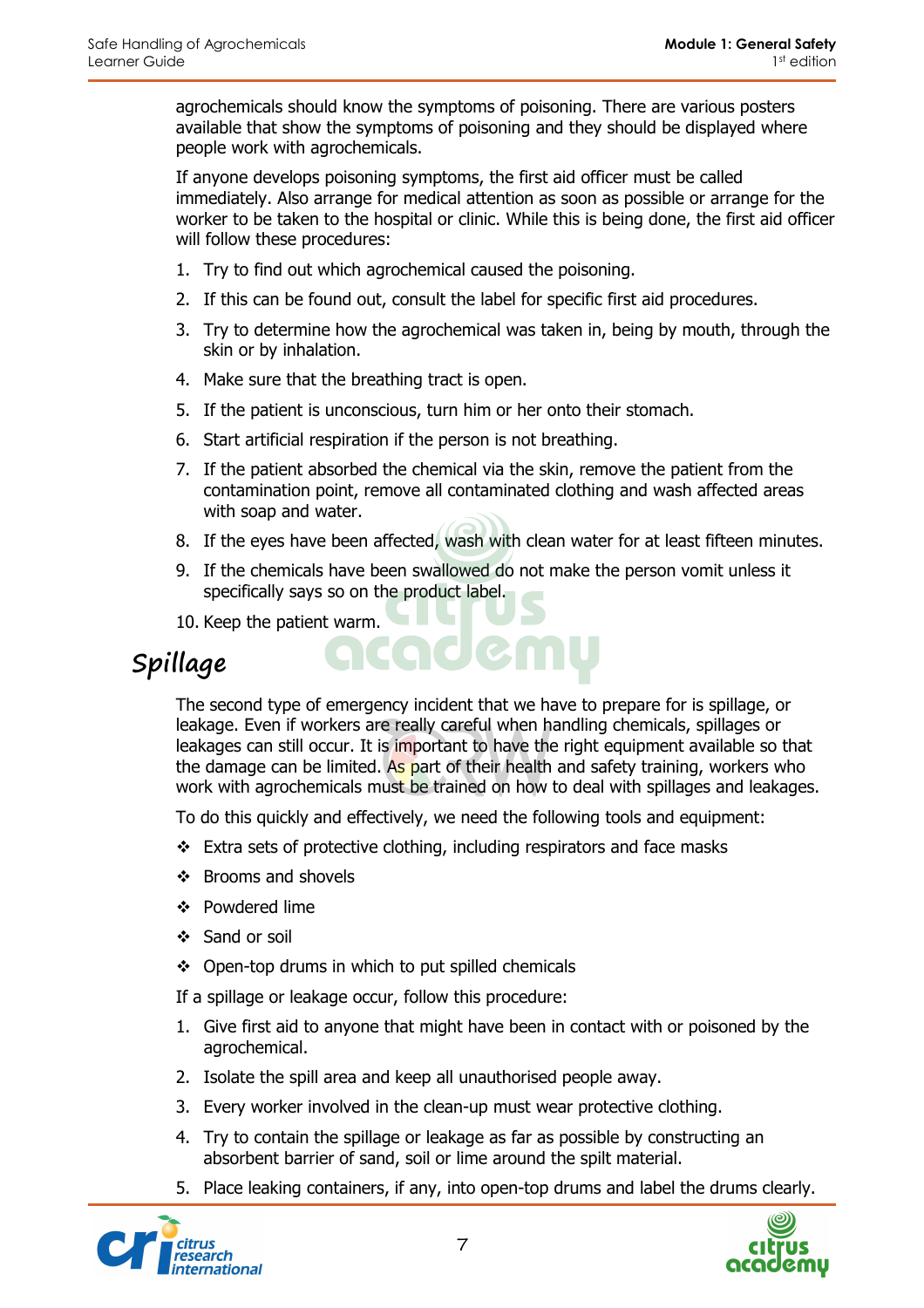agrochemicals should know the symptoms of poisoning. There are various posters available that show the symptoms of poisoning and they should be displayed where people work with agrochemicals.

If anyone develops poisoning symptoms, the first aid officer must be called immediately. Also arrange for medical attention as soon as possible or arrange for the worker to be taken to the hospital or clinic. While this is being done, the first aid officer will follow these procedures:

- 1. Try to find out which agrochemical caused the poisoning.
- 2. If this can be found out, consult the label for specific first aid procedures.
- 3. Try to determine how the agrochemical was taken in, being by mouth, through the skin or by inhalation.
- 4. Make sure that the breathing tract is open.
- 5. If the patient is unconscious, turn him or her onto their stomach.
- 6. Start artificial respiration if the person is not breathing.
- 7. If the patient absorbed the chemical via the skin, remove the patient from the contamination point, remove all contaminated clothing and wash affected areas with soap and water.
- 8. If the eyes have been affected, wash with clean water for at least fifteen minutes.
- 9. If the chemicals have been swallowed do not make the person vomit unless it specifically says so on the product label.
- 10. Keep the patient warm.

### **Spillage**

The second type of emergency incident that we have to prepare for is spillage, or leakage. Even if workers are really careful when handling chemicals, spillages or leakages can still occur. It is important to have the right equipment available so that the damage can be limited. As part of their health and safety training, workers who work with agrochemicals must be trained on how to deal with spillages and leakages.

To do this quickly and effectively, we need the following tools and equipment:

- $\cdot$  Extra sets of protective clothing, including respirators and face masks
- $\div$  Brooms and shovels
- Powdered lime
- ❖ Sand or soil
- ❖ Open-top drums in which to put spilled chemicals

If a spillage or leakage occur, follow this procedure:

- 1. Give first aid to anyone that might have been in contact with or poisoned by the agrochemical.
- 2. Isolate the spill area and keep all unauthorised people away.
- 3. Every worker involved in the clean-up must wear protective clothing.
- 4. Try to contain the spillage or leakage as far as possible by constructing an absorbent barrier of sand, soil or lime around the spilt material.
- 5. Place leaking containers, if any, into open-top drums and label the drums clearly.